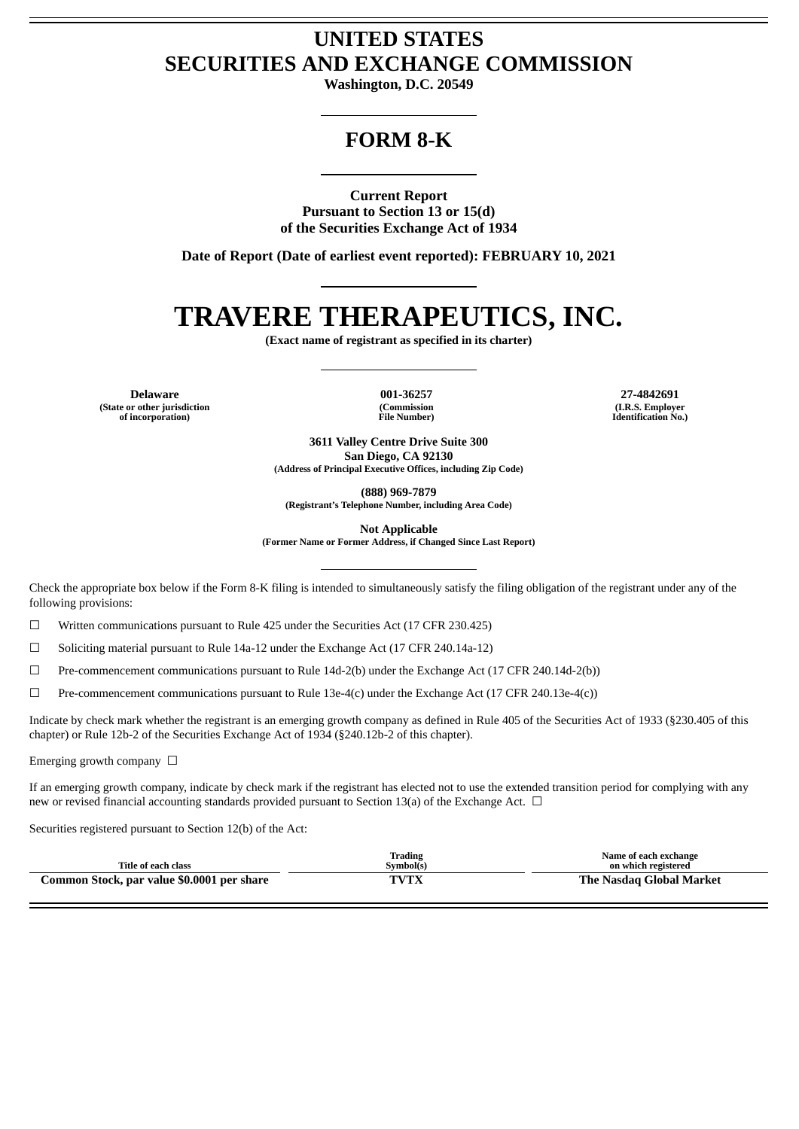## **UNITED STATES SECURITIES AND EXCHANGE COMMISSION**

**Washington, D.C. 20549**

## **FORM 8-K**

**Current Report Pursuant to Section 13 or 15(d) of the Securities Exchange Act of 1934**

**Date of Report (Date of earliest event reported): FEBRUARY 10, 2021**

# **TRAVERE THERAPEUTICS, INC.**

**(Exact name of registrant as specified in its charter)**

**Delaware 001-36257 27-4842691 (State or other jurisdiction of incorporation)**

**(Commission File Number)**

**(I.R.S. Employer Identification No.)**

**3611 Valley Centre Drive Suite 300 San Diego, CA 92130 (Address of Principal Executive Offices, including Zip Code)**

**(888) 969-7879**

**(Registrant's Telephone Number, including Area Code)**

**Not Applicable**

**(Former Name or Former Address, if Changed Since Last Report)**

Check the appropriate box below if the Form 8-K filing is intended to simultaneously satisfy the filing obligation of the registrant under any of the following provisions:

 $\Box$  Written communications pursuant to Rule 425 under the Securities Act (17 CFR 230.425)

☐ Soliciting material pursuant to Rule 14a-12 under the Exchange Act (17 CFR 240.14a-12)

 $\Box$  Pre-commencement communications pursuant to Rule 14d-2(b) under the Exchange Act (17 CFR 240.14d-2(b))

☐ Pre-commencement communications pursuant to Rule 13e-4(c) under the Exchange Act (17 CFR 240.13e-4(c))

Indicate by check mark whether the registrant is an emerging growth company as defined in Rule 405 of the Securities Act of 1933 (§230.405 of this chapter) or Rule 12b-2 of the Securities Exchange Act of 1934 (§240.12b-2 of this chapter).

Emerging growth company  $\Box$ 

If an emerging growth company, indicate by check mark if the registrant has elected not to use the extended transition period for complying with any new or revised financial accounting standards provided pursuant to Section 13(a) of the Exchange Act.  $\Box$ 

Securities registered pursuant to Section 12(b) of the Act:

| Title of each class                        | Trading<br>Svmbol(s) | Name of each exchange<br>on which registered |  |
|--------------------------------------------|----------------------|----------------------------------------------|--|
| Common Stock, par value \$0.0001 per share | TVTY                 | The Nasdag Global Market                     |  |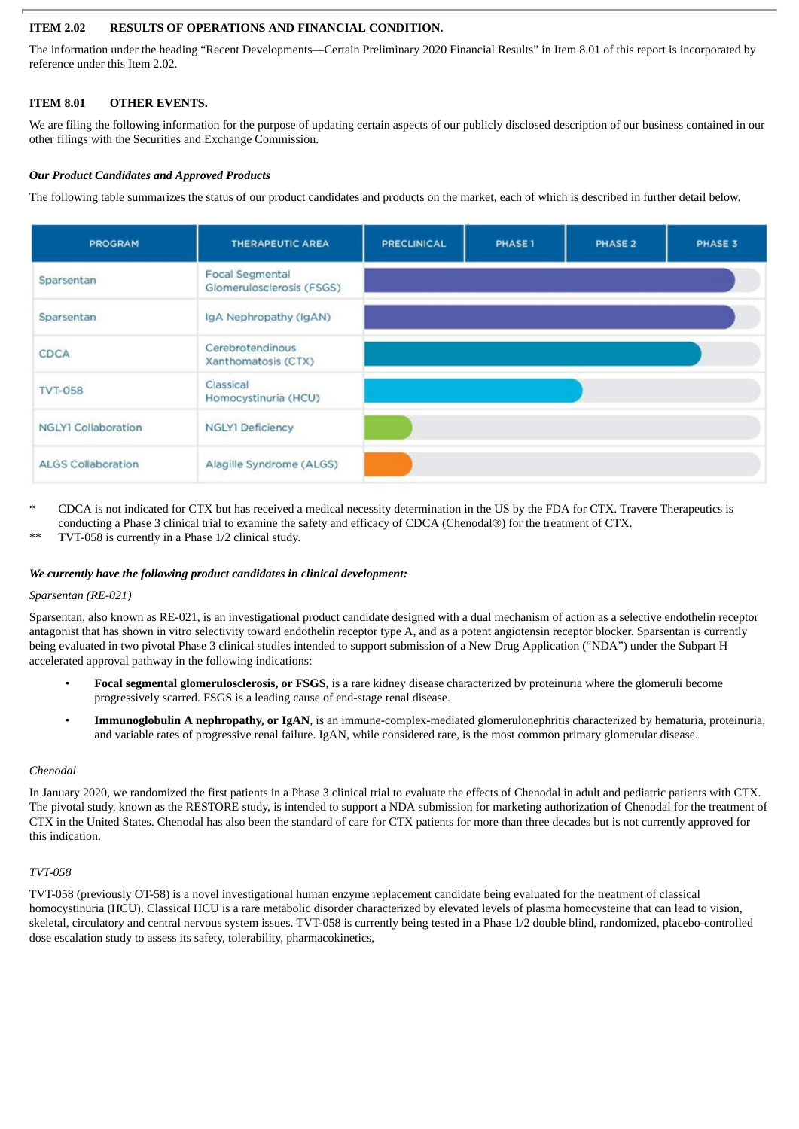#### **ITEM 2.02 RESULTS OF OPERATIONS AND FINANCIAL CONDITION.**

The information under the heading "Recent Developments—Certain Preliminary 2020 Financial Results" in Item 8.01 of this report is incorporated by reference under this Item 2.02.

#### **ITEM 8.01 OTHER EVENTS.**

We are filing the following information for the purpose of updating certain aspects of our publicly disclosed description of our business contained in our other filings with the Securities and Exchange Commission.

#### *Our Product Candidates and Approved Products*

The following table summarizes the status of our product candidates and products on the market, each of which is described in further detail below.

| <b>PROGRAM</b>             | <b>THERAPEUTIC AREA</b>                      | <b>PRECLINICAL</b> | PHASE 1 | PHASE 2 | PHASE 3 |
|----------------------------|----------------------------------------------|--------------------|---------|---------|---------|
| Sparsentan                 | Focal Segmental<br>Glomerulosclerosis (FSGS) |                    |         |         |         |
| Sparsentan                 | IgA Nephropathy (IgAN)                       |                    |         |         |         |
| CDCA                       | Cerebrotendinous<br>Xanthomatosis (CTX)      |                    |         |         |         |
| <b>TVT-058</b>             | Classical<br>Homocystinuria (HCU)            |                    |         |         |         |
| <b>NGLY1 Collaboration</b> | <b>NGLY1 Deficiency</b>                      |                    |         |         |         |
| <b>ALGS Collaboration</b>  | Alagille Syndrome (ALGS)                     |                    |         |         |         |

- \* CDCA is not indicated for CTX but has received a medical necessity determination in the US by the FDA for CTX. Travere Therapeutics is conducting a Phase 3 clinical trial to examine the safety and efficacy of CDCA (Chenodal®) for the treatment of CTX.
- TVT-058 is currently in a Phase 1/2 clinical study.

#### *We currently have the following product candidates in clinical development:*

#### *Sparsentan (RE-021)*

Sparsentan*,* also known as RE-021, is an investigational product candidate designed with a dual mechanism of action as a selective endothelin receptor antagonist that has shown in vitro selectivity toward endothelin receptor type A, and as a potent angiotensin receptor blocker. Sparsentan is currently being evaluated in two pivotal Phase 3 clinical studies intended to support submission of a New Drug Application ("NDA") under the Subpart H accelerated approval pathway in the following indications:

- **Focal segmental glomerulosclerosis, or FSGS**, is a rare kidney disease characterized by proteinuria where the glomeruli become progressively scarred. FSGS is a leading cause of end-stage renal disease.
- **Immunoglobulin A nephropathy, or IgAN**, is an immune-complex-mediated glomerulonephritis characterized by hematuria, proteinuria, and variable rates of progressive renal failure. IgAN, while considered rare, is the most common primary glomerular disease.

#### *Chenodal*

In January 2020, we randomized the first patients in a Phase 3 clinical trial to evaluate the effects of Chenodal in adult and pediatric patients with CTX. The pivotal study, known as the RESTORE study, is intended to support a NDA submission for marketing authorization of Chenodal for the treatment of CTX in the United States. Chenodal has also been the standard of care for CTX patients for more than three decades but is not currently approved for this indication.

#### *TVT-058*

TVT-058 (previously OT-58) is a novel investigational human enzyme replacement candidate being evaluated for the treatment of classical homocystinuria (HCU). Classical HCU is a rare metabolic disorder characterized by elevated levels of plasma homocysteine that can lead to vision, skeletal, circulatory and central nervous system issues. TVT-058 is currently being tested in a Phase 1/2 double blind, randomized, placebo-controlled dose escalation study to assess its safety, tolerability, pharmacokinetics,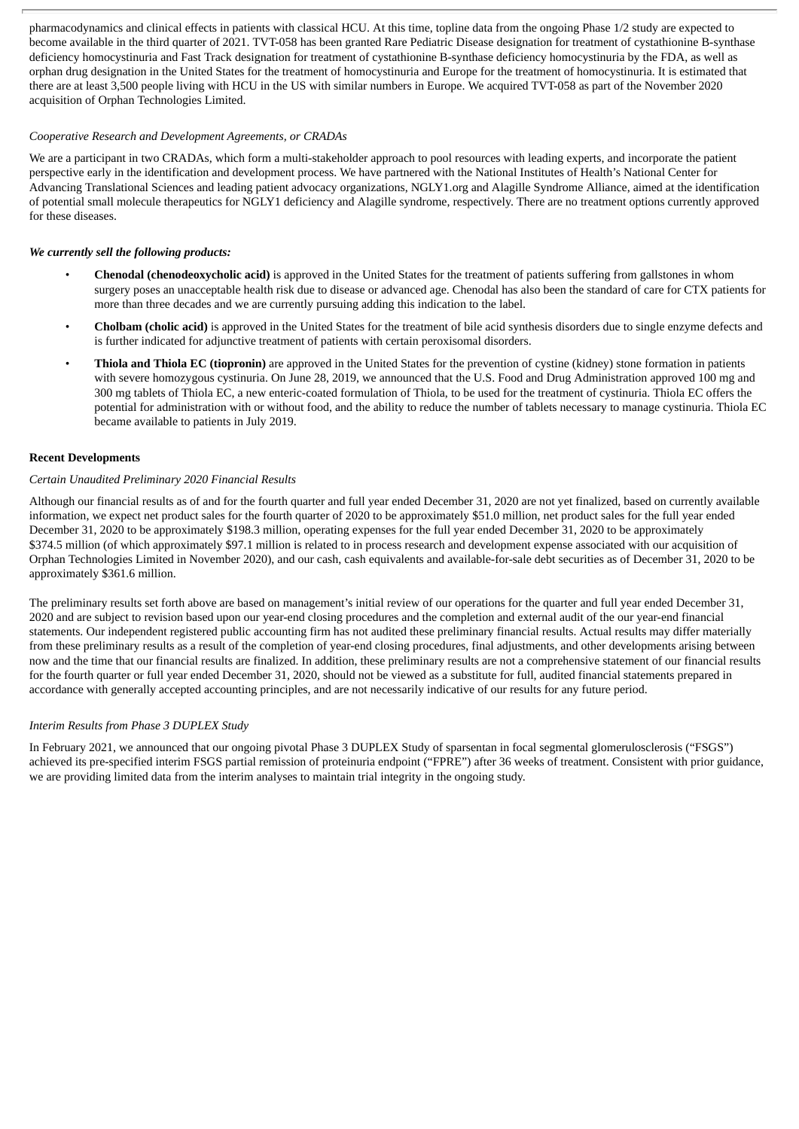pharmacodynamics and clinical effects in patients with classical HCU. At this time, topline data from the ongoing Phase 1/2 study are expected to become available in the third quarter of 2021. TVT-058 has been granted Rare Pediatric Disease designation for treatment of cystathionine B-synthase deficiency homocystinuria and Fast Track designation for treatment of cystathionine B-synthase deficiency homocystinuria by the FDA, as well as orphan drug designation in the United States for the treatment of homocystinuria and Europe for the treatment of homocystinuria. It is estimated that there are at least 3,500 people living with HCU in the US with similar numbers in Europe. We acquired TVT-058 as part of the November 2020 acquisition of Orphan Technologies Limited.

#### *Cooperative Research and Development Agreements, or CRADAs*

We are a participant in two CRADAs, which form a multi-stakeholder approach to pool resources with leading experts, and incorporate the patient perspective early in the identification and development process. We have partnered with the National Institutes of Health's National Center for Advancing Translational Sciences and leading patient advocacy organizations, NGLY1.org and Alagille Syndrome Alliance, aimed at the identification of potential small molecule therapeutics for NGLY1 deficiency and Alagille syndrome, respectively. There are no treatment options currently approved for these diseases.

#### *We currently sell the following products:*

- **Chenodal (chenodeoxycholic acid)** is approved in the United States for the treatment of patients suffering from gallstones in whom surgery poses an unacceptable health risk due to disease or advanced age. Chenodal has also been the standard of care for CTX patients for more than three decades and we are currently pursuing adding this indication to the label.
- **Cholbam (cholic acid)** is approved in the United States for the treatment of bile acid synthesis disorders due to single enzyme defects and is further indicated for adjunctive treatment of patients with certain peroxisomal disorders.
- **Thiola and Thiola EC (tiopronin)** are approved in the United States for the prevention of cystine (kidney) stone formation in patients with severe homozygous cystinuria. On June 28, 2019, we announced that the U.S. Food and Drug Administration approved 100 mg and 300 mg tablets of Thiola EC, a new enteric-coated formulation of Thiola, to be used for the treatment of cystinuria. Thiola EC offers the potential for administration with or without food, and the ability to reduce the number of tablets necessary to manage cystinuria. Thiola EC became available to patients in July 2019.

#### **Recent Developments**

#### *Certain Unaudited Preliminary 2020 Financial Results*

Although our financial results as of and for the fourth quarter and full year ended December 31, 2020 are not yet finalized, based on currently available information, we expect net product sales for the fourth quarter of 2020 to be approximately \$51.0 million, net product sales for the full year ended December 31, 2020 to be approximately \$198.3 million, operating expenses for the full year ended December 31, 2020 to be approximately \$374.5 million (of which approximately \$97.1 million is related to in process research and development expense associated with our acquisition of Orphan Technologies Limited in November 2020), and our cash, cash equivalents and available-for-sale debt securities as of December 31, 2020 to be approximately \$361.6 million.

The preliminary results set forth above are based on management's initial review of our operations for the quarter and full year ended December 31, 2020 and are subject to revision based upon our year-end closing procedures and the completion and external audit of the our year-end financial statements. Our independent registered public accounting firm has not audited these preliminary financial results. Actual results may differ materially from these preliminary results as a result of the completion of year-end closing procedures, final adjustments, and other developments arising between now and the time that our financial results are finalized. In addition, these preliminary results are not a comprehensive statement of our financial results for the fourth quarter or full year ended December 31, 2020, should not be viewed as a substitute for full, audited financial statements prepared in accordance with generally accepted accounting principles, and are not necessarily indicative of our results for any future period.

#### *Interim Results from Phase 3 DUPLEX Study*

In February 2021, we announced that our ongoing pivotal Phase 3 DUPLEX Study of sparsentan in focal segmental glomerulosclerosis ("FSGS") achieved its pre-specified interim FSGS partial remission of proteinuria endpoint ("FPRE") after 36 weeks of treatment. Consistent with prior guidance, we are providing limited data from the interim analyses to maintain trial integrity in the ongoing study.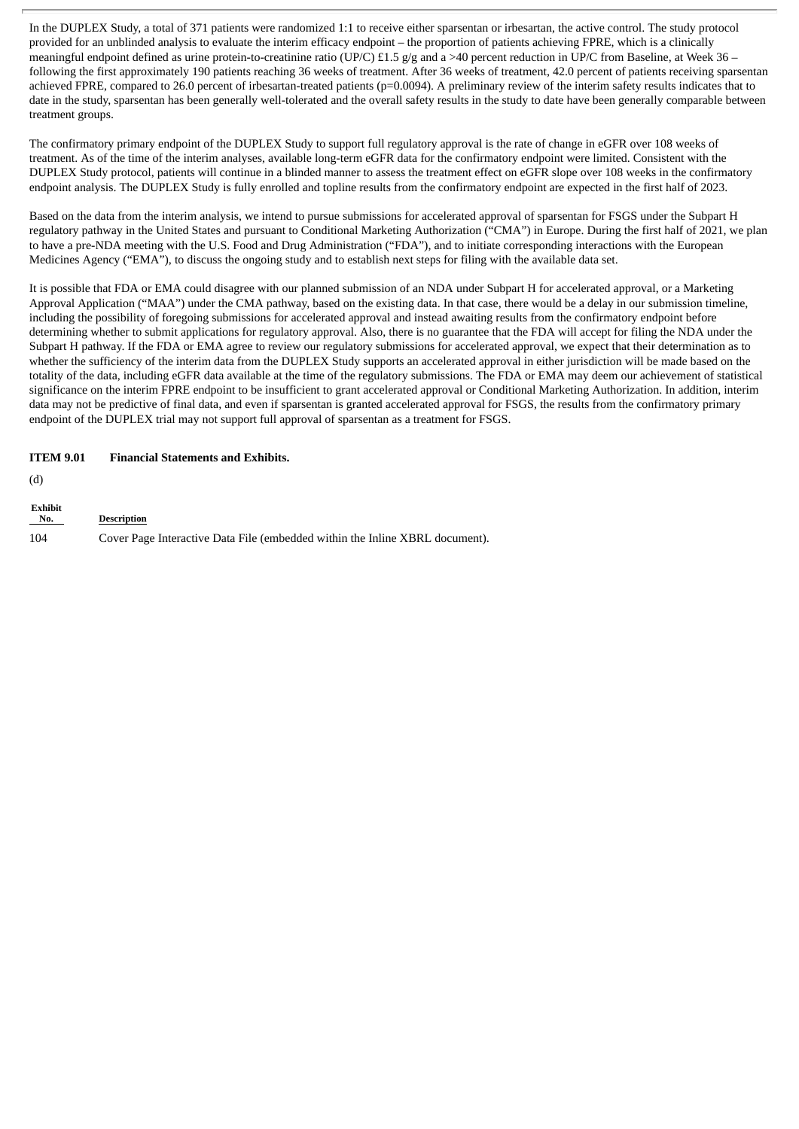In the DUPLEX Study, a total of 371 patients were randomized 1:1 to receive either sparsentan or irbesartan, the active control. The study protocol provided for an unblinded analysis to evaluate the interim efficacy endpoint – the proportion of patients achieving FPRE, which is a clinically meaningful endpoint defined as urine protein-to-creatinine ratio (UP/C) £1.5 g/g and a >40 percent reduction in UP/C from Baseline, at Week 36 – following the first approximately 190 patients reaching 36 weeks of treatment. After 36 weeks of treatment, 42.0 percent of patients receiving sparsentan achieved FPRE, compared to 26.0 percent of irbesartan-treated patients (p=0.0094). A preliminary review of the interim safety results indicates that to date in the study, sparsentan has been generally well-tolerated and the overall safety results in the study to date have been generally comparable between treatment groups.

The confirmatory primary endpoint of the DUPLEX Study to support full regulatory approval is the rate of change in eGFR over 108 weeks of treatment. As of the time of the interim analyses, available long-term eGFR data for the confirmatory endpoint were limited. Consistent with the DUPLEX Study protocol, patients will continue in a blinded manner to assess the treatment effect on eGFR slope over 108 weeks in the confirmatory endpoint analysis. The DUPLEX Study is fully enrolled and topline results from the confirmatory endpoint are expected in the first half of 2023.

Based on the data from the interim analysis, we intend to pursue submissions for accelerated approval of sparsentan for FSGS under the Subpart H regulatory pathway in the United States and pursuant to Conditional Marketing Authorization ("CMA") in Europe. During the first half of 2021, we plan to have a pre-NDA meeting with the U.S. Food and Drug Administration ("FDA"), and to initiate corresponding interactions with the European Medicines Agency ("EMA"), to discuss the ongoing study and to establish next steps for filing with the available data set.

It is possible that FDA or EMA could disagree with our planned submission of an NDA under Subpart H for accelerated approval, or a Marketing Approval Application ("MAA") under the CMA pathway, based on the existing data. In that case, there would be a delay in our submission timeline, including the possibility of foregoing submissions for accelerated approval and instead awaiting results from the confirmatory endpoint before determining whether to submit applications for regulatory approval. Also, there is no guarantee that the FDA will accept for filing the NDA under the Subpart H pathway. If the FDA or EMA agree to review our regulatory submissions for accelerated approval, we expect that their determination as to whether the sufficiency of the interim data from the DUPLEX Study supports an accelerated approval in either jurisdiction will be made based on the totality of the data, including eGFR data available at the time of the regulatory submissions. The FDA or EMA may deem our achievement of statistical significance on the interim FPRE endpoint to be insufficient to grant accelerated approval or Conditional Marketing Authorization. In addition, interim data may not be predictive of final data, and even if sparsentan is granted accelerated approval for FSGS, the results from the confirmatory primary endpoint of the DUPLEX trial may not support full approval of sparsentan as a treatment for FSGS.

#### **ITEM 9.01 Financial Statements and Exhibits.**

(d)

| <b>Exhibit</b><br>No. | Description                                                                  |
|-----------------------|------------------------------------------------------------------------------|
| 104                   | Cover Page Interactive Data File (embedded within the Inline XBRL document). |